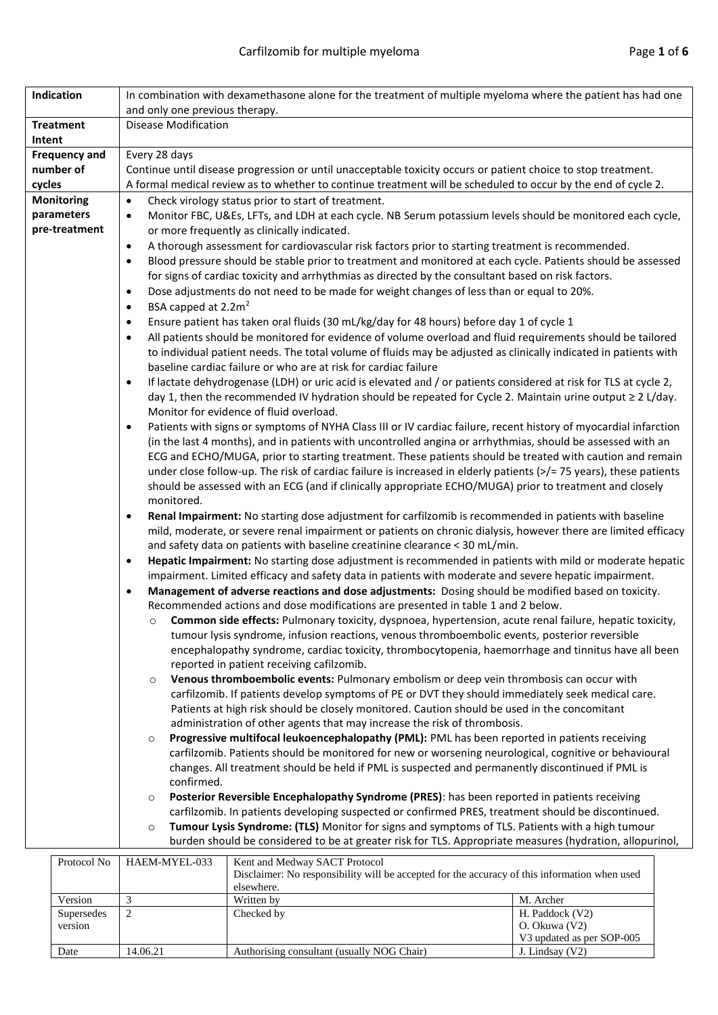| Indication           | In combination with dexamethasone alone for the treatment of multiple myeloma where the patient has had one                                                                                                                          |  |  |  |  |  |  |
|----------------------|--------------------------------------------------------------------------------------------------------------------------------------------------------------------------------------------------------------------------------------|--|--|--|--|--|--|
|                      | and only one previous therapy.                                                                                                                                                                                                       |  |  |  |  |  |  |
| <b>Treatment</b>     | <b>Disease Modification</b>                                                                                                                                                                                                          |  |  |  |  |  |  |
| Intent               |                                                                                                                                                                                                                                      |  |  |  |  |  |  |
| <b>Frequency and</b> | Every 28 days                                                                                                                                                                                                                        |  |  |  |  |  |  |
| number of            | Continue until disease progression or until unacceptable toxicity occurs or patient choice to stop treatment.                                                                                                                        |  |  |  |  |  |  |
| cycles               | A formal medical review as to whether to continue treatment will be scheduled to occur by the end of cycle 2.                                                                                                                        |  |  |  |  |  |  |
| <b>Monitoring</b>    | Check virology status prior to start of treatment.<br>$\bullet$                                                                                                                                                                      |  |  |  |  |  |  |
| parameters           | Monitor FBC, U&Es, LFTs, and LDH at each cycle. NB Serum potassium levels should be monitored each cycle,<br>$\bullet$                                                                                                               |  |  |  |  |  |  |
| pre-treatment        | or more frequently as clinically indicated.                                                                                                                                                                                          |  |  |  |  |  |  |
|                      | A thorough assessment for cardiovascular risk factors prior to starting treatment is recommended.<br>٠                                                                                                                               |  |  |  |  |  |  |
|                      | Blood pressure should be stable prior to treatment and monitored at each cycle. Patients should be assessed<br>$\bullet$                                                                                                             |  |  |  |  |  |  |
|                      | for signs of cardiac toxicity and arrhythmias as directed by the consultant based on risk factors.                                                                                                                                   |  |  |  |  |  |  |
|                      | Dose adjustments do not need to be made for weight changes of less than or equal to 20%.<br>٠                                                                                                                                        |  |  |  |  |  |  |
|                      | BSA capped at 2.2m <sup>2</sup><br>$\bullet$                                                                                                                                                                                         |  |  |  |  |  |  |
|                      | Ensure patient has taken oral fluids (30 mL/kg/day for 48 hours) before day 1 of cycle 1<br>$\bullet$<br>All patients should be monitored for evidence of volume overload and fluid requirements should be tailored                  |  |  |  |  |  |  |
|                      | $\bullet$<br>to individual patient needs. The total volume of fluids may be adjusted as clinically indicated in patients with                                                                                                        |  |  |  |  |  |  |
|                      | baseline cardiac failure or who are at risk for cardiac failure                                                                                                                                                                      |  |  |  |  |  |  |
|                      | If lactate dehydrogenase (LDH) or uric acid is elevated and / or patients considered at risk for TLS at cycle 2,<br>$\bullet$                                                                                                        |  |  |  |  |  |  |
|                      | day 1, then the recommended IV hydration should be repeated for Cycle 2. Maintain urine output ≥ 2 L/day.                                                                                                                            |  |  |  |  |  |  |
|                      | Monitor for evidence of fluid overload.                                                                                                                                                                                              |  |  |  |  |  |  |
|                      | Patients with signs or symptoms of NYHA Class III or IV cardiac failure, recent history of myocardial infarction<br>٠<br>(in the last 4 months), and in patients with uncontrolled angina or arrhythmias, should be assessed with an |  |  |  |  |  |  |
|                      | ECG and ECHO/MUGA, prior to starting treatment. These patients should be treated with caution and remain                                                                                                                             |  |  |  |  |  |  |
|                      | under close follow-up. The risk of cardiac failure is increased in elderly patients (>/= 75 years), these patients                                                                                                                   |  |  |  |  |  |  |
|                      | should be assessed with an ECG (and if clinically appropriate ECHO/MUGA) prior to treatment and closely                                                                                                                              |  |  |  |  |  |  |
|                      | monitored.                                                                                                                                                                                                                           |  |  |  |  |  |  |
|                      | Renal Impairment: No starting dose adjustment for carfilzomib is recommended in patients with baseline<br>$\bullet$                                                                                                                  |  |  |  |  |  |  |
|                      | mild, moderate, or severe renal impairment or patients on chronic dialysis, however there are limited efficacy                                                                                                                       |  |  |  |  |  |  |
|                      | and safety data on patients with baseline creatinine clearance < 30 mL/min.                                                                                                                                                          |  |  |  |  |  |  |
|                      | Hepatic Impairment: No starting dose adjustment is recommended in patients with mild or moderate hepatic<br>$\bullet$                                                                                                                |  |  |  |  |  |  |
|                      | impairment. Limited efficacy and safety data in patients with moderate and severe hepatic impairment.                                                                                                                                |  |  |  |  |  |  |
|                      | Management of adverse reactions and dose adjustments: Dosing should be modified based on toxicity.<br>$\bullet$                                                                                                                      |  |  |  |  |  |  |
|                      | Recommended actions and dose modifications are presented in table 1 and 2 below.                                                                                                                                                     |  |  |  |  |  |  |
|                      | Common side effects: Pulmonary toxicity, dyspnoea, hypertension, acute renal failure, hepatic toxicity,<br>$\circ$                                                                                                                   |  |  |  |  |  |  |
|                      | tumour lysis syndrome, infusion reactions, venous thromboembolic events, posterior reversible<br>encephalopathy syndrome, cardiac toxicity, thrombocytopenia, haemorrhage and tinnitus have all been                                 |  |  |  |  |  |  |
|                      | reported in patient receiving cafilzomib.                                                                                                                                                                                            |  |  |  |  |  |  |
|                      | Venous thromboembolic events: Pulmonary embolism or deep vein thrombosis can occur with<br>$\circ$                                                                                                                                   |  |  |  |  |  |  |
|                      | carfilzomib. If patients develop symptoms of PE or DVT they should immediately seek medical care.                                                                                                                                    |  |  |  |  |  |  |
|                      | Patients at high risk should be closely monitored. Caution should be used in the concomitant                                                                                                                                         |  |  |  |  |  |  |
|                      | administration of other agents that may increase the risk of thrombosis.                                                                                                                                                             |  |  |  |  |  |  |
|                      | Progressive multifocal leukoencephalopathy (PML): PML has been reported in patients receiving<br>$\circ$                                                                                                                             |  |  |  |  |  |  |
|                      | carfilzomib. Patients should be monitored for new or worsening neurological, cognitive or behavioural                                                                                                                                |  |  |  |  |  |  |
|                      | changes. All treatment should be held if PML is suspected and permanently discontinued if PML is                                                                                                                                     |  |  |  |  |  |  |
|                      | confirmed.                                                                                                                                                                                                                           |  |  |  |  |  |  |
|                      | Posterior Reversible Encephalopathy Syndrome (PRES): has been reported in patients receiving<br>$\circ$                                                                                                                              |  |  |  |  |  |  |
|                      | carfilzomib. In patients developing suspected or confirmed PRES, treatment should be discontinued.                                                                                                                                   |  |  |  |  |  |  |
|                      | Tumour Lysis Syndrome: (TLS) Monitor for signs and symptoms of TLS. Patients with a high tumour<br>$\circ$                                                                                                                           |  |  |  |  |  |  |
|                      | burden should be considered to be at greater risk for TLS. Appropriate measures (hydration, allopurinol,                                                                                                                             |  |  |  |  |  |  |

| Protocol No | HAEM-MYEL-033 | Kent and Medway SACT Protocol<br>Disclaimer: No responsibility will be accepted for the accuracy of this information when used |                           |  |  |
|-------------|---------------|--------------------------------------------------------------------------------------------------------------------------------|---------------------------|--|--|
|             |               | elsewhere.                                                                                                                     |                           |  |  |
| Version     |               | Written by                                                                                                                     | M. Archer                 |  |  |
| Supersedes  |               | Checked by                                                                                                                     | H. Paddock (V2)           |  |  |
| version     |               |                                                                                                                                | O. Okuwa (V2)             |  |  |
|             |               |                                                                                                                                | V3 updated as per SOP-005 |  |  |
| Date        | 14.06.21      | Authorising consultant (usually NOG Chair)                                                                                     | J. Lindsay $(V2)$         |  |  |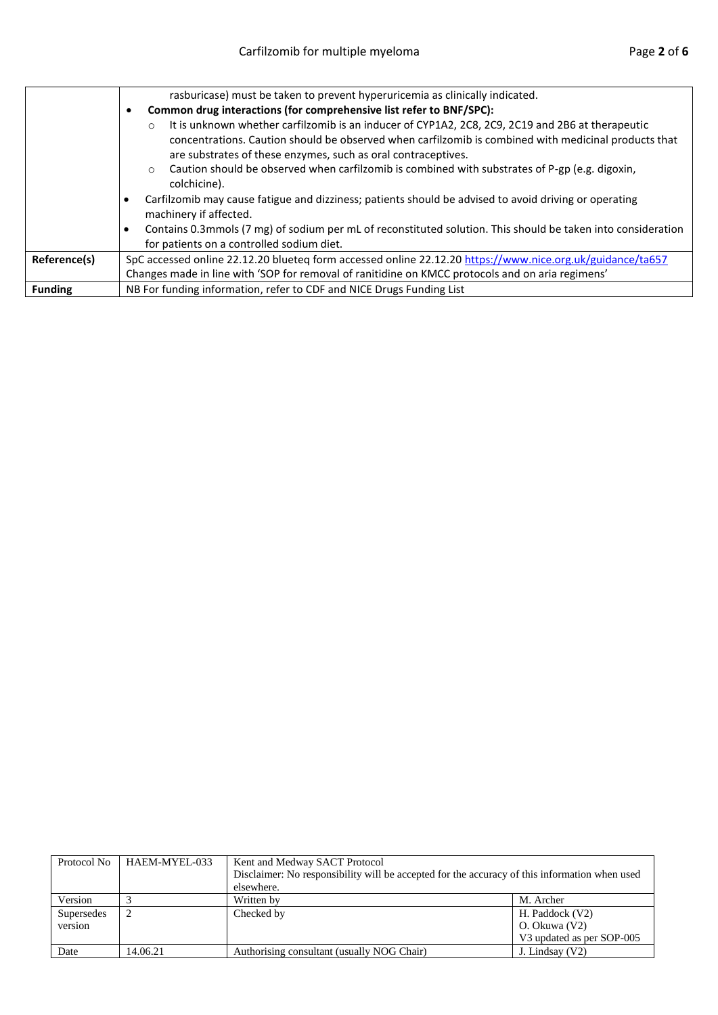|                | rasburicase) must be taken to prevent hyperuricemia as clinically indicated.                                                                                                                                                                                                                                                                                                                      |
|----------------|---------------------------------------------------------------------------------------------------------------------------------------------------------------------------------------------------------------------------------------------------------------------------------------------------------------------------------------------------------------------------------------------------|
|                | Common drug interactions (for comprehensive list refer to BNF/SPC):<br>٠                                                                                                                                                                                                                                                                                                                          |
|                | It is unknown whether carfilzomib is an inducer of CYP1A2, 2C8, 2C9, 2C19 and 2B6 at therapeutic<br>$\circ$<br>concentrations. Caution should be observed when carfilzomib is combined with medicinal products that<br>are substrates of these enzymes, such as oral contraceptives.<br>Caution should be observed when carfilzomib is combined with substrates of P-gp (e.g. digoxin,<br>$\circ$ |
|                | colchicine).                                                                                                                                                                                                                                                                                                                                                                                      |
|                | Carfilzomib may cause fatigue and dizziness; patients should be advised to avoid driving or operating<br>machinery if affected.                                                                                                                                                                                                                                                                   |
|                | Contains 0.3mmols (7 mg) of sodium per mL of reconstituted solution. This should be taken into consideration                                                                                                                                                                                                                                                                                      |
|                | for patients on a controlled sodium diet.                                                                                                                                                                                                                                                                                                                                                         |
| Reference(s)   | SpC accessed online 22.12.20 blueteq form accessed online 22.12.20 https://www.nice.org.uk/guidance/ta657                                                                                                                                                                                                                                                                                         |
|                | Changes made in line with 'SOP for removal of ranitidine on KMCC protocols and on aria regimens'                                                                                                                                                                                                                                                                                                  |
| <b>Funding</b> | NB For funding information, refer to CDF and NICE Drugs Funding List                                                                                                                                                                                                                                                                                                                              |

| Protocol No | HAEM-MYEL-033 | Kent and Medway SACT Protocol<br>Disclaimer: No responsibility will be accepted for the accuracy of this information when used |                           |  |  |  |
|-------------|---------------|--------------------------------------------------------------------------------------------------------------------------------|---------------------------|--|--|--|
|             |               | elsewhere.                                                                                                                     |                           |  |  |  |
| Version     |               | Written by                                                                                                                     | M. Archer                 |  |  |  |
| Supersedes  |               | Checked by                                                                                                                     | H. Paddock (V2)           |  |  |  |
| version     |               |                                                                                                                                | O. Okuwa (V2)             |  |  |  |
|             |               |                                                                                                                                | V3 updated as per SOP-005 |  |  |  |
| Date        | 14.06.21      | Authorising consultant (usually NOG Chair)                                                                                     | J. Lindsay $(V2)$         |  |  |  |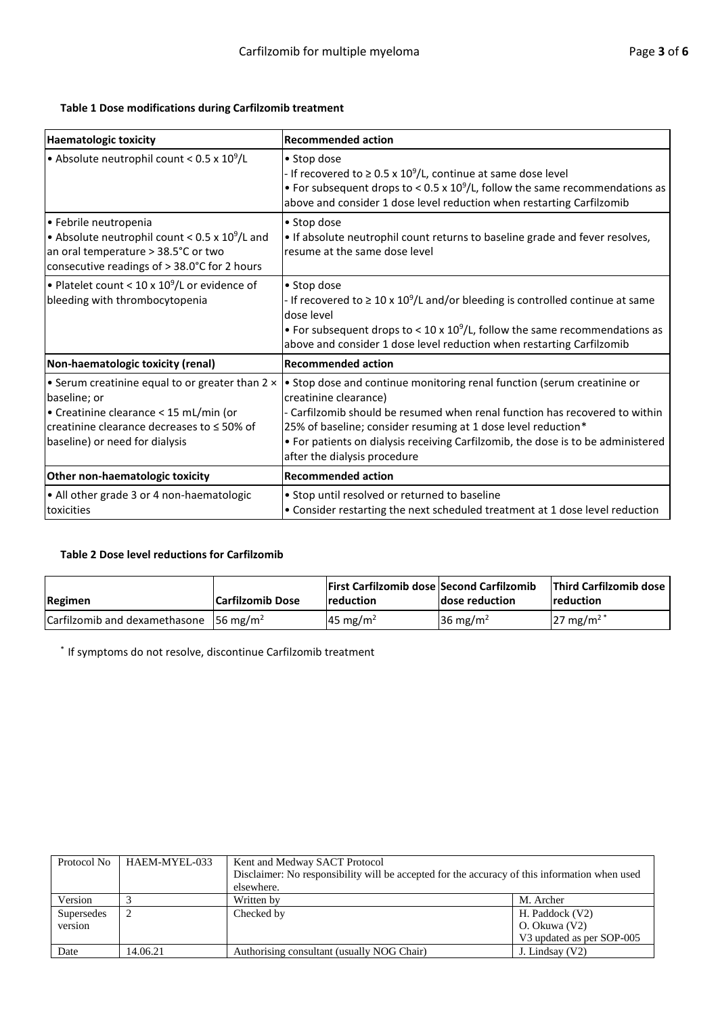## **Table 1 Dose modifications during Carfilzomib treatment**

| <b>Haematologic toxicity</b>                                                                                                                                                                   | <b>Recommended action</b>                                                                                                                                                                                                                                                                                                                                            |
|------------------------------------------------------------------------------------------------------------------------------------------------------------------------------------------------|----------------------------------------------------------------------------------------------------------------------------------------------------------------------------------------------------------------------------------------------------------------------------------------------------------------------------------------------------------------------|
| • Absolute neutrophil count < $0.5 \times 10^9$ /L                                                                                                                                             | • Stop dose<br>- If recovered to $\geq$ 0.5 x 10 <sup>9</sup> /L, continue at same dose level<br>• For subsequent drops to < 0.5 x $10^9$ /L, follow the same recommendations as<br>above and consider 1 dose level reduction when restarting Carfilzomib                                                                                                            |
| • Febrile neutropenia<br>• Absolute neutrophil count < $0.5 \times 10^9$ /L and<br>an oral temperature > 38.5°C or two<br>consecutive readings of > 38.0°C for 2 hours                         | • Stop dose<br>• If absolute neutrophil count returns to baseline grade and fever resolves,<br>resume at the same dose level                                                                                                                                                                                                                                         |
| . Platelet count < $10 \times 10^9$ /L or evidence of<br>bleeding with thrombocytopenia                                                                                                        | • Stop dose<br>- If recovered to $\geq 10 \times 10^9$ /L and/or bleeding is controlled continue at same<br>dose level<br>• For subsequent drops to < 10 x $10^9$ /L, follow the same recommendations as<br>above and consider 1 dose level reduction when restarting Carfilzomib                                                                                    |
| Non-haematologic toxicity (renal)                                                                                                                                                              | <b>Recommended action</b>                                                                                                                                                                                                                                                                                                                                            |
| • Serum creatinine equal to or greater than 2 x<br>baseline; or<br>• Creatinine clearance < 15 mL/min (or<br>creatinine clearance decreases to $\leq$ 50% of<br>baseline) or need for dialysis | • Stop dose and continue monitoring renal function (serum creatinine or<br>creatinine clearance)<br>- Carfilzomib should be resumed when renal function has recovered to within<br>25% of baseline; consider resuming at 1 dose level reduction*<br>• For patients on dialysis receiving Carfilzomib, the dose is to be administered<br>after the dialysis procedure |
| Other non-haematologic toxicity                                                                                                                                                                | <b>Recommended action</b>                                                                                                                                                                                                                                                                                                                                            |
| • All other grade 3 or 4 non-haematologic<br>toxicities                                                                                                                                        | • Stop until resolved or returned to baseline<br>• Consider restarting the next scheduled treatment at 1 dose level reduction                                                                                                                                                                                                                                        |

## **Table 2 Dose level reductions for Carfilzomib**

| Regimen                                                            | Carfilzomib Dose | <b>First Carfilzomib dose Second Carfilzomib</b><br><b>Ireduction</b> | dose reduction      | <b>Third Carfilzomib dose I</b><br><b>Ireduction</b> |
|--------------------------------------------------------------------|------------------|-----------------------------------------------------------------------|---------------------|------------------------------------------------------|
| $\vert$ Carfilzomib and dexamethasone $\vert$ 56 mg/m <sup>2</sup> |                  | 45 mg/m <sup>2</sup>                                                  | $36 \text{ mg/m}^2$ | $27 \text{ mg/m}^2$                                  |

\* If symptoms do not resolve, discontinue Carfilzomib treatment

| Protocol No | HAEM-MYEL-033 | Kent and Medway SACT Protocol                                                                 |                           |  |  |
|-------------|---------------|-----------------------------------------------------------------------------------------------|---------------------------|--|--|
|             |               | Disclaimer: No responsibility will be accepted for the accuracy of this information when used |                           |  |  |
|             |               | elsewhere.                                                                                    |                           |  |  |
| Version     |               | Written by                                                                                    | M. Archer                 |  |  |
| Supersedes  |               | Checked by                                                                                    | H. Paddock (V2)           |  |  |
| version     |               |                                                                                               | O. Okuwa (V2)             |  |  |
|             |               |                                                                                               | V3 updated as per SOP-005 |  |  |
| Date        | 14.06.21      | Authorising consultant (usually NOG Chair)                                                    | J. Lindsay (V2)           |  |  |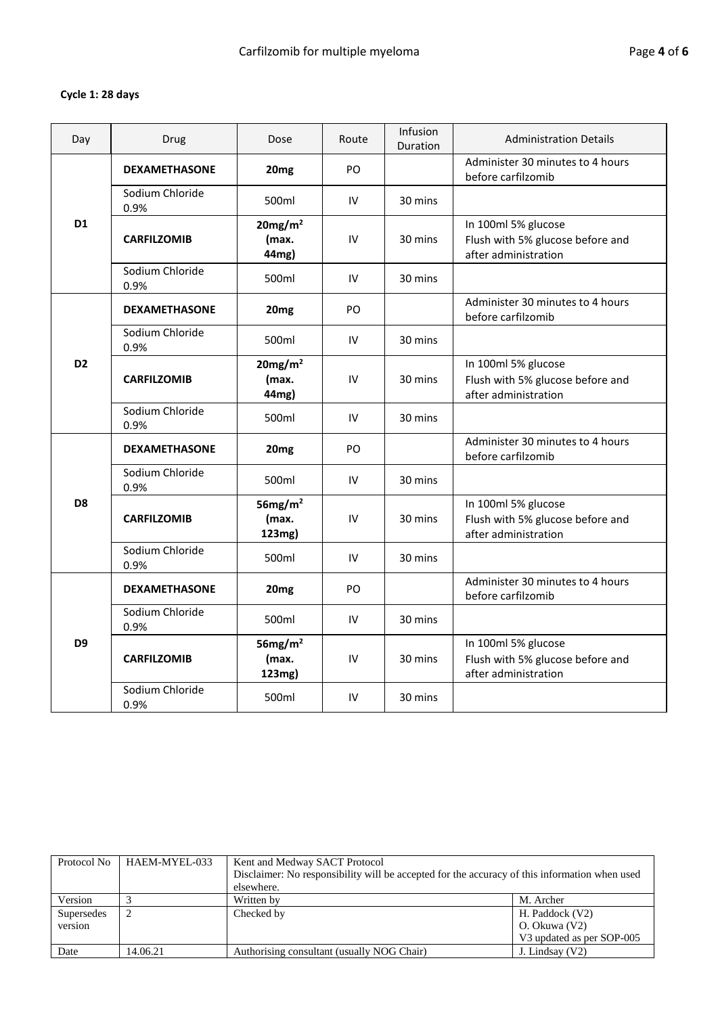## **Cycle 1: 28 days**

| Day            | Drug                    | Dose                                  | Route         | Infusion<br>Duration | <b>Administration Details</b>                                                   |
|----------------|-------------------------|---------------------------------------|---------------|----------------------|---------------------------------------------------------------------------------|
|                | <b>DEXAMETHASONE</b>    | 20 <sub>mg</sub>                      | PO.           |                      | Administer 30 minutes to 4 hours<br>before carfilzomib                          |
|                | Sodium Chloride<br>0.9% | 500ml                                 | IV            | 30 mins              |                                                                                 |
| D <sub>1</sub> | <b>CARFILZOMIB</b>      | 20mg/m <sup>2</sup><br>(max.<br>44mg) | IV            | 30 mins              | In 100ml 5% glucose<br>Flush with 5% glucose before and<br>after administration |
|                | Sodium Chloride<br>0.9% | 500ml                                 | IV            | 30 mins              |                                                                                 |
|                | <b>DEXAMETHASONE</b>    | 20 <sub>mg</sub>                      | PO            |                      | Administer 30 minutes to 4 hours<br>before carfilzomib                          |
|                | Sodium Chloride<br>0.9% | 500ml                                 | IV            | 30 mins              |                                                                                 |
| D <sub>2</sub> | <b>CARFILZOMIB</b>      | 20mg/m <sup>2</sup><br>(max.<br>44mg) | IV            | 30 mins              | In 100ml 5% glucose<br>Flush with 5% glucose before and<br>after administration |
|                | Sodium Chloride<br>0.9% | 500ml                                 | IV            | 30 mins              |                                                                                 |
|                | <b>DEXAMETHASONE</b>    | 20 <sub>mg</sub>                      | PO            |                      | Administer 30 minutes to 4 hours<br>before carfilzomib                          |
|                | Sodium Chloride<br>0.9% | 500ml                                 | IV            | 30 mins              |                                                                                 |
| D <sub>8</sub> | <b>CARFILZOMIB</b>      | 56 $mg/m2$<br>(max.<br>123mg)         | $\mathsf{IV}$ | 30 mins              | In 100ml 5% glucose<br>Flush with 5% glucose before and<br>after administration |
|                | Sodium Chloride<br>0.9% | 500ml                                 | IV            | 30 mins              |                                                                                 |
|                | <b>DEXAMETHASONE</b>    | 20 <sub>mg</sub>                      | PO            |                      | Administer 30 minutes to 4 hours<br>before carfilzomib                          |
| D <sub>9</sub> | Sodium Chloride<br>0.9% | 500ml                                 | IV            | 30 mins              |                                                                                 |
|                | <b>CARFILZOMIB</b>      | 56 $mg/m2$<br>(max.<br>123mg)         | IV            | 30 mins              | In 100ml 5% glucose<br>Flush with 5% glucose before and<br>after administration |
|                | Sodium Chloride<br>0.9% | 500ml                                 | IV            | 30 mins              |                                                                                 |

| Protocol No           | HAEM-MYEL-033 | Kent and Medway SACT Protocol<br>Disclaimer: No responsibility will be accepted for the accuracy of this information when used<br>elsewhere. |                                                               |  |  |  |
|-----------------------|---------------|----------------------------------------------------------------------------------------------------------------------------------------------|---------------------------------------------------------------|--|--|--|
| Version               |               | Written by                                                                                                                                   | M. Archer                                                     |  |  |  |
| Supersedes<br>version |               | Checked by                                                                                                                                   | H. Paddock (V2)<br>O. Okuwa (V2)<br>V3 updated as per SOP-005 |  |  |  |
| Date                  | 14.06.21      | Authorising consultant (usually NOG Chair)                                                                                                   | J. Lindsay $(V2)$                                             |  |  |  |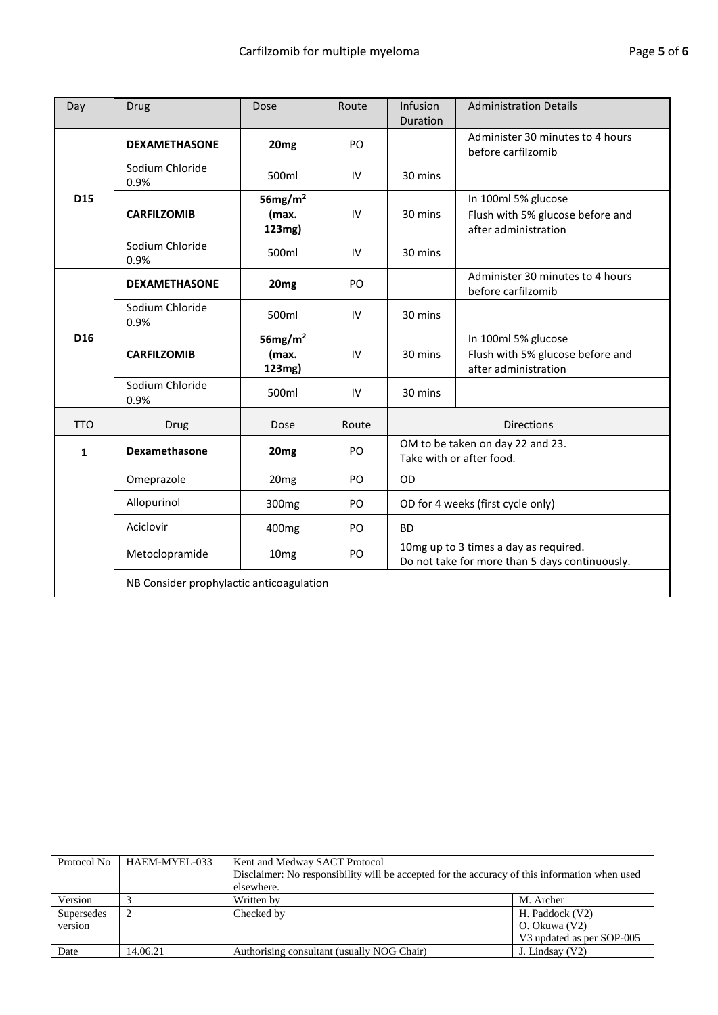| Day             | <b>Drug</b>                              | Dose                          | Route | Infusion<br>Duration                                                                    | <b>Administration Details</b>                                                   |  |
|-----------------|------------------------------------------|-------------------------------|-------|-----------------------------------------------------------------------------------------|---------------------------------------------------------------------------------|--|
|                 | <b>DEXAMETHASONE</b>                     | 20 <sub>mg</sub>              | PO    |                                                                                         | Administer 30 minutes to 4 hours<br>before carfilzomib                          |  |
|                 | Sodium Chloride<br>0.9%                  | 500ml                         | IV    | 30 mins                                                                                 |                                                                                 |  |
| D15             | <b>CARFILZOMIB</b>                       | 56 $mg/m2$<br>(max.<br>123mg) | IV    | 30 mins                                                                                 | In 100ml 5% glucose<br>Flush with 5% glucose before and<br>after administration |  |
|                 | Sodium Chloride<br>0.9%                  | 500ml                         | IV    | 30 mins                                                                                 |                                                                                 |  |
|                 | <b>DEXAMETHASONE</b>                     | 20 <sub>mg</sub>              | PO    |                                                                                         | Administer 30 minutes to 4 hours<br>before carfilzomib                          |  |
|                 | Sodium Chloride<br>0.9%                  | 500ml                         | IV    | 30 mins                                                                                 |                                                                                 |  |
| D <sub>16</sub> | <b>CARFILZOMIB</b>                       | 56 $mg/m2$<br>(max.<br>123mg) | IV    | 30 mins                                                                                 | In 100ml 5% glucose<br>Flush with 5% glucose before and<br>after administration |  |
|                 | Sodium Chloride<br>0.9%                  | 500ml                         | IV    | 30 mins                                                                                 |                                                                                 |  |
| <b>TTO</b>      | Drug                                     | Dose                          | Route |                                                                                         | <b>Directions</b>                                                               |  |
| $\mathbf{1}$    | Dexamethasone                            | 20 <sub>mg</sub>              | PO    | OM to be taken on day 22 and 23.<br>Take with or after food.                            |                                                                                 |  |
|                 | Omeprazole                               | 20 <sub>mg</sub>              | PO    | OD<br>OD for 4 weeks (first cycle only)<br><b>BD</b>                                    |                                                                                 |  |
|                 | Allopurinol                              | 300 <sub>mg</sub>             | PO    |                                                                                         |                                                                                 |  |
|                 | Aciclovir                                | 400 <sub>mg</sub>             | PO    |                                                                                         |                                                                                 |  |
|                 | Metoclopramide                           | 10 <sub>mg</sub>              | PO.   | 10mg up to 3 times a day as required.<br>Do not take for more than 5 days continuously. |                                                                                 |  |
|                 | NB Consider prophylactic anticoagulation |                               |       |                                                                                         |                                                                                 |  |

| Protocol No           | HAEM-MYEL-033 | Kent and Medway SACT Protocol<br>Disclaimer: No responsibility will be accepted for the accuracy of this information when used<br>elsewhere. |                                                               |  |  |  |
|-----------------------|---------------|----------------------------------------------------------------------------------------------------------------------------------------------|---------------------------------------------------------------|--|--|--|
| Version               |               | Written by                                                                                                                                   | M. Archer                                                     |  |  |  |
| Supersedes<br>version |               | Checked by                                                                                                                                   | H. Paddock (V2)<br>O. Okuwa (V2)<br>V3 updated as per SOP-005 |  |  |  |
| Date                  | 14.06.21      | Authorising consultant (usually NOG Chair)                                                                                                   | J. Lindsay $(V2)$                                             |  |  |  |